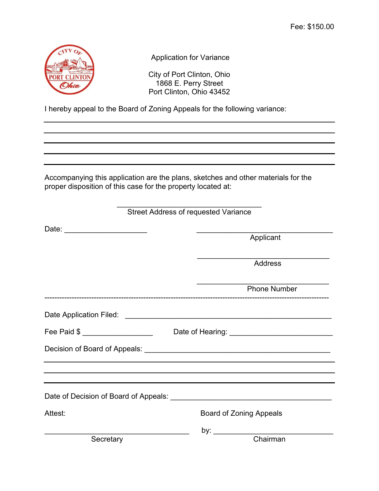

Application for Variance

City of Port Clinton, Ohio 1868 E. Perry Street Port Clinton, Ohio 43452

I hereby appeal to the Board of Zoning Appeals for the following variance:

Accompanying this application are the plans, sketches and other materials for the proper disposition of this case for the property located at:

| <b>Street Address of requested Variance</b>                                        |                                                                                                                                                                                                                                |  |  |  |
|------------------------------------------------------------------------------------|--------------------------------------------------------------------------------------------------------------------------------------------------------------------------------------------------------------------------------|--|--|--|
|                                                                                    |                                                                                                                                                                                                                                |  |  |  |
|                                                                                    | Applicant                                                                                                                                                                                                                      |  |  |  |
|                                                                                    | Address                                                                                                                                                                                                                        |  |  |  |
|                                                                                    | <b>Phone Number</b>                                                                                                                                                                                                            |  |  |  |
|                                                                                    |                                                                                                                                                                                                                                |  |  |  |
| Fee Paid \$ ____________________                                                   |                                                                                                                                                                                                                                |  |  |  |
|                                                                                    |                                                                                                                                                                                                                                |  |  |  |
| ,我们也不会有什么。""我们的人,我们也不会有什么?""我们的人,我们也不会有什么?""我们的人,我们也不会有什么?""我们的人,我们也不会有什么?""我们的人   |                                                                                                                                                                                                                                |  |  |  |
| Date of Decision of Board of Appeals: [1986] Date of Decision of Board of Appeals: |                                                                                                                                                                                                                                |  |  |  |
| Attest:                                                                            | <b>Board of Zoning Appeals</b>                                                                                                                                                                                                 |  |  |  |
|                                                                                    | by: the control of the control of the control of the control of the control of the control of the control of the control of the control of the control of the control of the control of the control of the control of the cont |  |  |  |
| Secretary                                                                          | Chairman                                                                                                                                                                                                                       |  |  |  |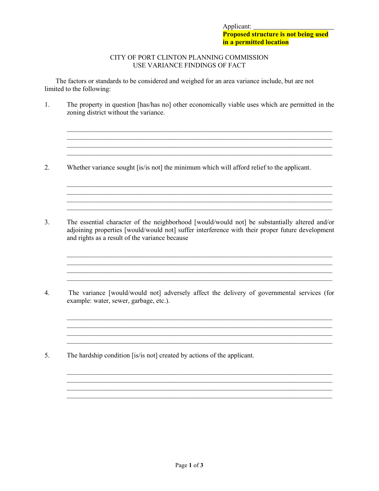#### CITY OF PORT CLINTON PLANNING COMMISSION USE VARIANCE FINDINGS OF FACT

The factors or standards to be considered and weighed for an area variance include, but are not limited to the following:

1. The property in question [has/has no] other economically viable uses which are permitted in the zoning district without the variance.

 $\_$  , and the set of the set of the set of the set of the set of the set of the set of the set of the set of the set of the set of the set of the set of the set of the set of the set of the set of the set of the set of th  $\mathcal{L}_\text{max}$  $\mathcal{L}_\mathcal{L} = \{ \mathcal{L}_\mathcal{L} = \{ \mathcal{L}_\mathcal{L} = \{ \mathcal{L}_\mathcal{L} = \{ \mathcal{L}_\mathcal{L} = \{ \mathcal{L}_\mathcal{L} = \{ \mathcal{L}_\mathcal{L} = \{ \mathcal{L}_\mathcal{L} = \{ \mathcal{L}_\mathcal{L} = \{ \mathcal{L}_\mathcal{L} = \{ \mathcal{L}_\mathcal{L} = \{ \mathcal{L}_\mathcal{L} = \{ \mathcal{L}_\mathcal{L} = \{ \mathcal{L}_\mathcal{L} = \{ \mathcal{L}_\mathcal{$  $\Box$ 

 $\_$  , and the set of the set of the set of the set of the set of the set of the set of the set of the set of the set of the set of the set of the set of the set of the set of the set of the set of the set of the set of th  $\mathcal{L}_\text{max}$ \_\_\_\_\_\_\_\_\_\_\_\_\_\_\_\_\_\_\_\_\_\_\_\_\_\_\_\_\_\_\_\_\_\_\_\_\_\_\_\_\_\_\_\_\_\_\_\_\_\_\_\_\_\_\_\_\_\_\_\_\_\_\_\_\_\_\_\_\_\_\_\_\_\_\_\_\_\_

 $\_$  , and the set of the set of the set of the set of the set of the set of the set of the set of the set of the set of the set of the set of the set of the set of the set of the set of the set of the set of the set of th  $\mathcal{L}_\mathcal{L} = \{ \mathcal{L}_\mathcal{L} = \{ \mathcal{L}_\mathcal{L} = \{ \mathcal{L}_\mathcal{L} = \{ \mathcal{L}_\mathcal{L} = \{ \mathcal{L}_\mathcal{L} = \{ \mathcal{L}_\mathcal{L} = \{ \mathcal{L}_\mathcal{L} = \{ \mathcal{L}_\mathcal{L} = \{ \mathcal{L}_\mathcal{L} = \{ \mathcal{L}_\mathcal{L} = \{ \mathcal{L}_\mathcal{L} = \{ \mathcal{L}_\mathcal{L} = \{ \mathcal{L}_\mathcal{L} = \{ \mathcal{L}_\mathcal{$  $\mathcal{L}_\mathcal{L} = \{ \mathcal{L}_\mathcal{L} = \{ \mathcal{L}_\mathcal{L} = \{ \mathcal{L}_\mathcal{L} = \{ \mathcal{L}_\mathcal{L} = \{ \mathcal{L}_\mathcal{L} = \{ \mathcal{L}_\mathcal{L} = \{ \mathcal{L}_\mathcal{L} = \{ \mathcal{L}_\mathcal{L} = \{ \mathcal{L}_\mathcal{L} = \{ \mathcal{L}_\mathcal{L} = \{ \mathcal{L}_\mathcal{L} = \{ \mathcal{L}_\mathcal{L} = \{ \mathcal{L}_\mathcal{L} = \{ \mathcal{L}_\mathcal{$  $\_$  , and the set of the set of the set of the set of the set of the set of the set of the set of the set of the set of the set of the set of the set of the set of the set of the set of the set of the set of the set of th

\_\_\_\_\_\_\_\_\_\_\_\_\_\_\_\_\_\_\_\_\_\_\_\_\_\_\_\_\_\_\_\_\_\_\_\_\_\_\_\_\_\_\_\_\_\_\_\_\_\_\_\_\_\_\_\_\_\_\_\_\_\_\_\_\_\_\_\_\_\_\_\_\_\_\_\_\_\_

\_\_\_\_\_\_\_\_\_\_\_\_\_\_\_\_\_\_\_\_\_\_\_\_\_\_\_\_\_\_\_\_\_\_\_\_\_\_\_\_\_\_\_\_\_\_\_\_\_\_\_\_\_\_\_\_\_\_\_\_\_\_\_\_\_\_\_\_\_\_\_\_\_\_\_\_\_\_  $\mathcal{L}_\mathcal{L} = \{ \mathcal{L}_\mathcal{L} = \{ \mathcal{L}_\mathcal{L} = \{ \mathcal{L}_\mathcal{L} = \{ \mathcal{L}_\mathcal{L} = \{ \mathcal{L}_\mathcal{L} = \{ \mathcal{L}_\mathcal{L} = \{ \mathcal{L}_\mathcal{L} = \{ \mathcal{L}_\mathcal{L} = \{ \mathcal{L}_\mathcal{L} = \{ \mathcal{L}_\mathcal{L} = \{ \mathcal{L}_\mathcal{L} = \{ \mathcal{L}_\mathcal{L} = \{ \mathcal{L}_\mathcal{L} = \{ \mathcal{L}_\mathcal{$  $\mathcal{L}_\mathcal{L} = \{ \mathcal{L}_\mathcal{L} = \{ \mathcal{L}_\mathcal{L} = \{ \mathcal{L}_\mathcal{L} = \{ \mathcal{L}_\mathcal{L} = \{ \mathcal{L}_\mathcal{L} = \{ \mathcal{L}_\mathcal{L} = \{ \mathcal{L}_\mathcal{L} = \{ \mathcal{L}_\mathcal{L} = \{ \mathcal{L}_\mathcal{L} = \{ \mathcal{L}_\mathcal{L} = \{ \mathcal{L}_\mathcal{L} = \{ \mathcal{L}_\mathcal{L} = \{ \mathcal{L}_\mathcal{L} = \{ \mathcal{L}_\mathcal{$ 

\_\_\_\_\_\_\_\_\_\_\_\_\_\_\_\_\_\_\_\_\_\_\_\_\_\_\_\_\_\_\_\_\_\_\_\_\_\_\_\_\_\_\_\_\_\_\_\_\_\_\_\_\_\_\_\_\_\_\_\_\_\_\_\_\_\_\_\_\_\_\_\_\_\_\_\_\_\_

 $\ldots$  . The contribution of the contribution of the contribution of the contribution of the contribution of the contribution of the contribution of the contribution of the contribution of the contribution of the contribut

- 2. Whether variance sought [is/is not] the minimum which will afford relief to the applicant.
- 3. The essential character of the neighborhood [would/would not] be substantially altered and/or adjoining properties [would/would not] suffer interference with their proper future development and rights as a result of the variance because
- 4. The variance [would/would not] adversely affect the delivery of governmental services (for example: water, sewer, garbage, etc.).

5. The hardship condition [is/is not] created by actions of the applicant.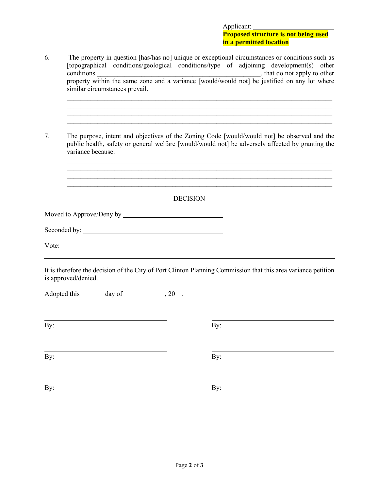## Applicant: **Proposed structure is not being used in a permitted location**

| 6.  | The property in question [has/has no] unique or exceptional circumstances or conditions such as<br>[topographical conditions/geological conditions/type of adjoining development(s) other                                                                                             |
|-----|---------------------------------------------------------------------------------------------------------------------------------------------------------------------------------------------------------------------------------------------------------------------------------------|
|     | similar circumstances prevail.                                                                                                                                                                                                                                                        |
| 7.  | <u> 1989 - Johann Barbara, markazar margolaria (h. 1989).</u><br>The purpose, intent and objectives of the Zoning Code [would/would not] be observed and the<br>public health, safety or general welfare [would/would not] be adversely affected by granting the<br>variance because: |
|     | <b>DECISION</b>                                                                                                                                                                                                                                                                       |
|     |                                                                                                                                                                                                                                                                                       |
|     |                                                                                                                                                                                                                                                                                       |
|     |                                                                                                                                                                                                                                                                                       |
|     |                                                                                                                                                                                                                                                                                       |
|     | It is therefore the decision of the City of Port Clinton Planning Commission that this area variance petition<br>is approved/denied.                                                                                                                                                  |
|     | Adopted this _______ day of _____________, 20__.                                                                                                                                                                                                                                      |
| By: | By:                                                                                                                                                                                                                                                                                   |
| By: | By:                                                                                                                                                                                                                                                                                   |
| By: | By:                                                                                                                                                                                                                                                                                   |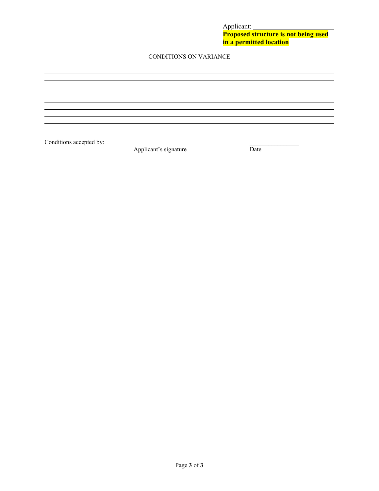Applicant: **Proposed structure is not being used in a permitted location**

### CONDITIONS ON VARIANCE

Conditions accepted by: <br>  $\frac{1}{\text{Application's signature}}$  Date Applicant's signature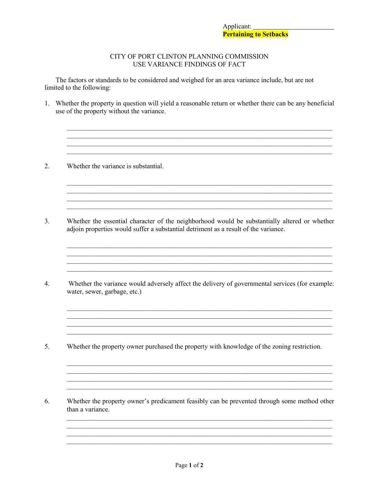### CITY OF PORT CLINTON PLANNING COMMISSION USE VARIANCE FINDINGS OF FACT

The factors or standards to be considered and weighed for an area variance include, but are not limited to the following:

1. Whether the property in question will yield a reasonable return or whether there can be any beneficial use of the property without the variance.

<u> 1989 - Johann Stoff, deutscher Stoffen und der Stoffen und der Stoffen und der Stoffen und der Stoffen und de</u>

<u> 1989 - Johann John Stone, mensk foar it ferskearre fan it ferskearre fan it ferskearre fan it ferskearre fan i</u>

- Whether the variance is substantial.  $2.$
- $3.$ Whether the essential character of the neighborhood would be substantially altered or whether adjoin properties would suffer a substantial detriment as a result of the variance.
- $4.$ Whether the variance would adversely affect the delivery of governmental services (for example: water, sewer, garbage, etc.)
- 5. Whether the property owner purchased the property with knowledge of the zoning restriction.
- 6. Whether the property owner's predicament feasibly can be prevented through some method other than a variance.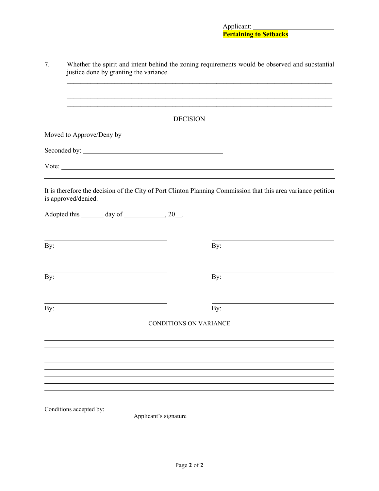| 7.  | Whether the spirit and intent behind the zoning requirements would be observed and substantial<br>justice done by granting the variance. |                               |                                                                                                                       |  |  |
|-----|------------------------------------------------------------------------------------------------------------------------------------------|-------------------------------|-----------------------------------------------------------------------------------------------------------------------|--|--|
|     |                                                                                                                                          |                               | <u> 1989 - Johann Harry Harry Harry Harry Harry Harry Harry Harry Harry Harry Harry Harry Harry Harry Harry Harry</u> |  |  |
|     | <b>DECISION</b>                                                                                                                          |                               |                                                                                                                       |  |  |
|     |                                                                                                                                          |                               |                                                                                                                       |  |  |
|     |                                                                                                                                          |                               |                                                                                                                       |  |  |
|     |                                                                                                                                          | Vote:                         |                                                                                                                       |  |  |
|     | is approved/denied.                                                                                                                      |                               | It is therefore the decision of the City of Port Clinton Planning Commission that this area variance petition         |  |  |
|     | Adopted this _______ day of _____________, 20___.                                                                                        |                               |                                                                                                                       |  |  |
| By: |                                                                                                                                          |                               | By:                                                                                                                   |  |  |
| By: |                                                                                                                                          |                               | By:                                                                                                                   |  |  |
| By: |                                                                                                                                          |                               | By:                                                                                                                   |  |  |
|     |                                                                                                                                          | <b>CONDITIONS ON VARIANCE</b> |                                                                                                                       |  |  |
|     |                                                                                                                                          |                               |                                                                                                                       |  |  |
|     |                                                                                                                                          |                               |                                                                                                                       |  |  |
|     |                                                                                                                                          |                               |                                                                                                                       |  |  |
|     | Conditions accepted by:                                                                                                                  | Applicant's signature         |                                                                                                                       |  |  |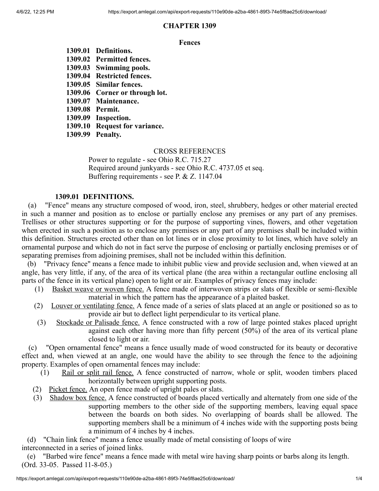# **CHAPTER 1309**

### **Fences**

- **1309.01 Definitions. 1309.02 Permitted fences. 1309.03 Swimming pools. 1309.04 Restricted fences. 1309.05 Similar fences. 1309.06 Corner or through lot. 1309.07 Maintenance. 1309.08 Permit. 1309.09 Inspection.**
- **1309.10 Request for variance.**
- **1309.99 Penalty.**

## CROSS REFERENCES

Power to regulate - see Ohio R.C. 715.27 Required around junkyards - see Ohio R.C. 4737.05 et seq. Buffering requirements - see P. & Z. 1147.04

## **1309.01 DEFINITIONS.**

(a) "Fence" means any structure composed of wood, iron, steel, shrubbery, hedges or other material erected in such a manner and position as to enclose or partially enclose any premises or any part of any premises. Trellises or other structures supporting or for the purpose of supporting vines, flowers, and other vegetation when erected in such a position as to enclose any premises or any part of any premises shall be included within this definition. Structures erected other than on lot lines or in close proximity to lot lines, which have solely an ornamental purpose and which do not in fact serve the purpose of enclosing or partially enclosing premises or of separating premises from adjoining premises, shall not be included within this definition.

(b) "Privacy fence" means a fence made to inhibit public view and provide seclusion and, when viewed at an angle, has very little, if any, of the area of its vertical plane (the area within a rectangular outline enclosing all parts of the fence in its vertical plane) open to light or air. Examples of privacy fences may include:

- (1) Basket weave or woven fence. A fence made of interwoven strips or slats of flexible or semi-flexible material in which the pattern has the appearance of a plaited basket.
- (2) Louver or ventilating fence. A fence made of a series of slats placed at an angle or positioned so as to provide air but to deflect light perpendicular to its vertical plane.
- (3) Stockade or Palisade fence. A fence constructed with a row of large pointed stakes placed upright against each other having more than fifty percent (50%) of the area of its vertical plane closed to light or air.

(c) "Open ornamental fence" means a fence usually made of wood constructed for its beauty or decorative effect and, when viewed at an angle, one would have the ability to see through the fence to the adjoining property. Examples of open ornamental fences may include:

- (1) Rail or split rail fence. A fence constructed of narrow, whole or split, wooden timbers placed horizontally between upright supporting posts.
- (2) Picket fence. An open fence made of upright pales or slats.
- (3) Shadow box fence. A fence constructed of boards placed vertically and alternately from one side of the supporting members to the other side of the supporting members, leaving equal space between the boards on both sides. No overlapping of boards shall be allowed. The supporting members shall be a minimum of 4 inches wide with the supporting posts being a minimum of 4 inches by 4 inches.

(d) "Chain link fence" means a fence usually made of metal consisting of loops of wire interconnected in a series of joined links.

(e) "Barbed wire fence" means a fence made with metal wire having sharp points or barbs along its length. (Ord. 33-05. Passed 11-8-05.)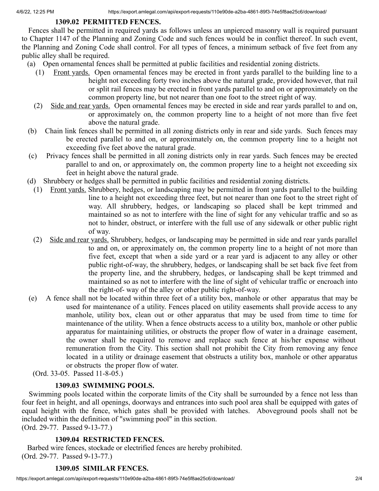# **1309.02 PERMITTED FENCES.**

Fences shall be permitted in required yards as follows unless an unpierced masonry wall is required pursuant to Chapter 1147 of the Planning and Zoning Code and such fences would be in conflict thereof. In such event, the Planning and Zoning Code shall control. For all types of fences, a minimum setback of five feet from any public alley shall be required.

- (a) Open ornamental fences shall be permitted at public facilities and residential zoning districts.
	- (1) Front yards. Open ornamental fences may be erected in front yards parallel to the building line to a height not exceeding forty two inches above the natural grade, provided however, that rail or split rail fences may be erected in front yards parallel to and on or approximately on the common property line, but not nearer than one foot to the street right of way.
	- (2) Side and rear yards. Open ornamental fences may be erected in side and rear yards parallel to and on, or approximately on, the common property line to a height of not more than five feet above the natural grade.
- (b) Chain link fences shall be permitted in all zoning districts only in rear and side yards. Such fences may be erected parallel to and on, or approximately on, the common property line to a height not exceeding five feet above the natural grade.
- (c) Privacy fences shall be permitted in all zoning districts only in rear yards. Such fences may be erected parallel to and on, or approximately on, the common property line to a height not exceeding six feet in height above the natural grade.
- (d) Shrubbery or hedges shall be permitted in public facilities and residential zoning districts.
	- (1) Front yards. Shrubbery, hedges, or landscaping may be permitted in front yards parallel to the building line to a height not exceeding three feet, but not nearer than one foot to the street right of way. All shrubbery, hedges, or landscaping so placed shall be kept trimmed and maintained so as not to interfere with the line of sight for any vehicular traffic and so as not to hinder, obstruct, or interfere with the full use of any sidewalk or other public right of way.
	- (2) Side and rear yards. Shrubbery, hedges, or landscaping may be permitted in side and rear yards parallel to and on, or approximately on, the common property line to a height of not more than five feet, except that when a side yard or a rear yard is adjacent to any alley or other public right-of-way, the shrubbery, hedges, or landscaping shall be set back five feet from the property line, and the shrubbery, hedges, or landscaping shall be kept trimmed and maintained so as not to interfere with the line of sight of vehicular traffic or encroach into the right-of- way of the alley or other public right-of-way.
- (e) A fence shall not be located within three feet of a utility box, manhole or other apparatus that may be used for maintenance of a utility. Fences placed on utility easements shall provide access to any manhole, utility box, clean out or other apparatus that may be used from time to time for maintenance of the utility. When a fence obstructs access to a utility box, manhole or other public apparatus for maintaining utilities, or obstructs the proper flow of water in a drainage easement, the owner shall be required to remove and replace such fence at his/her expense without remuneration from the City. This section shall not prohibit the City from removing any fence located in a utility or drainage easement that obstructs a utility box, manhole or other apparatus or obstructs the proper flow of water.
	- (Ord. 33-05. Passed 11-8-05.)

# **1309.03 SWIMMING POOLS.**

Swimming pools located within the corporate limits of the City shall be surrounded by a fence not less than four feet in height, and all openings, doorways and entrances into such pool area shall be equipped with gates of equal height with the fence, which gates shall be provided with latches. Aboveground pools shall not be included within the definition of "swimming pool" in this section.

(Ord. 29-77. Passed 9-13-77.)

# **1309.04 RESTRICTED FENCES.**

Barbed wire fences, stockade or electrified fences are hereby prohibited. (Ord. 29-77. Passed 9-13-77.)

# **1309.05 SIMILAR FENCES.**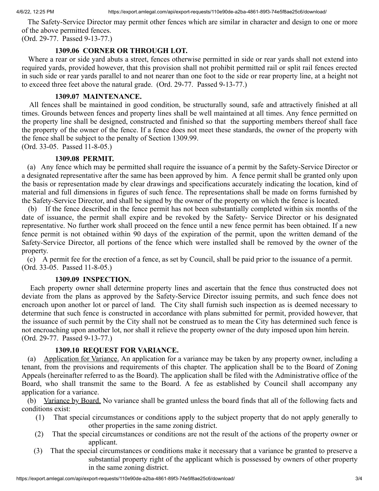The Safety-Service Director may permit other fences which are similar in character and design to one or more of the above permitted fences.

(Ord. 29-77. Passed 9-13-77.)

## **1309.06 CORNER OR THROUGH LOT.**

Where a rear or side yard abuts a street, fences otherwise permitted in side or rear yards shall not extend into required yards, provided however, that this provision shall not prohibit permitted rail or split rail fences erected in such side or rear yards parallel to and not nearer than one foot to the side or rear property line, at a height not to exceed three feet above the natural grade. (Ord. 29-77. Passed 9-13-77.)

### **1309.07 MAINTENANCE.**

All fences shall be maintained in good condition, be structurally sound, safe and attractively finished at all times. Grounds between fences and property lines shall be well maintained at all times. Any fence permitted on the property line shall be designed, constructed and finished so that the supporting members thereof shall face the property of the owner of the fence. If a fence does not meet these standards, the owner of the property with the fence shall be subject to the penalty of Section 1309.99.

(Ord. 33-05. Passed 11-8-05.)

## **1309.08 PERMIT.**

(a) Any fence which may be permitted shall require the issuance of a permit by the Safety-Service Director or a designated representative after the same has been approved by him. A fence permit shall be granted only upon the basis or representation made by clear drawings and specifications accurately indicating the location, kind of material and full dimensions in figures of such fence. The representations shall be made on forms furnished by the Safety-Service Director, and shall be signed by the owner of the property on which the fence is located.

(b) If the fence described in the fence permit has not been substantially completed within six months of the date of issuance, the permit shall expire and be revoked by the Safety- Service Director or his designated representative. No further work shall proceed on the fence until a new fence permit has been obtained. If a new fence permit is not obtained within 90 days of the expiration of the permit, upon the written demand of the Safety-Service Director, all portions of the fence which were installed shall be removed by the owner of the property.

(c) A permit fee for the erection of a fence, as set by Council, shall be paid prior to the issuance of a permit. (Ord. 33-05. Passed 11-8-05.)

### **1309.09 INSPECTION.**

Each property owner shall determine property lines and ascertain that the fence thus constructed does not deviate from the plans as approved by the Safety-Service Director issuing permits, and such fence does not encroach upon another lot or parcel of land. The City shall furnish such inspection as is deemed necessary to determine that such fence is constructed in accordance with plans submitted for permit, provided however, that the issuance of such permit by the City shall not be construed as to mean the City has determined such fence is not encroaching upon another lot, nor shall it relieve the property owner of the duty imposed upon him herein. (Ord. 29-77. Passed 9-13-77.)

## **1309.10 REQUEST FOR VARIANCE.**

(a) Application for Variance. An application for a variance may be taken by any property owner, including a tenant, from the provisions and requirements of this chapter. The application shall be to the Board of Zoning Appeals (hereinafter referred to as the Board). The application shall be filed with the Administrative office of the Board, who shall transmit the same to the Board. A fee as established by Council shall accompany any application for a variance.

(b) Variance by Board. No variance shall be granted unless the board finds that all of the following facts and conditions exist:

- (1) That special circumstances or conditions apply to the subject property that do not apply generally to other properties in the same zoning district.
- (2) That the special circumstances or conditions are not the result of the actions of the property owner or applicant.
- (3) That the special circumstances or conditions make it necessary that a variance be granted to preserve a substantial property right of the applicant which is possessed by owners of other property in the same zoning district.